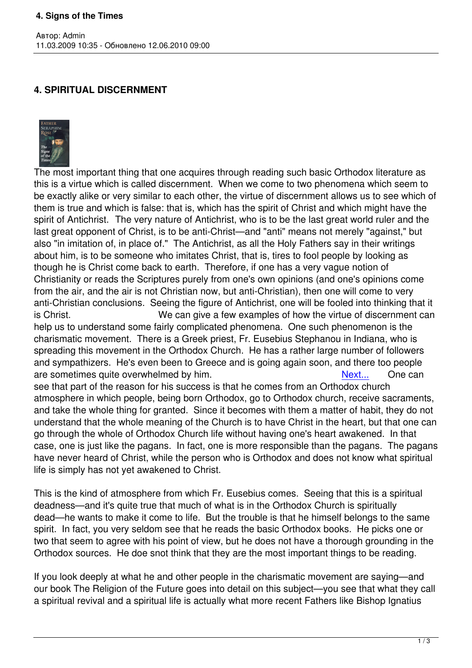## **4. SPIRITUAL DISCERNMENT**



Автор: Admin

The most important thing that one acquires through reading such basic Orthodox literature as this is a virtue which is called discernment. When we come to two phenomena which seem to be exactly alike or very similar to each other, the virtue of discernment allows us to see which of them is true and which is false: that is, which has the spirit of Christ and which might have the spirit of Antichrist. The very nature of Antichrist, who is to be the last great world ruler and the last great opponent of Christ, is to be anti-Christ—and "anti" means not merely "against," but also "in imitation of, in place of." The Antichrist, as all the Holy Fathers say in their writings about him, is to be someone who imitates Christ, that is, tires to fool people by looking as though he is Christ come back to earth. Therefore, if one has a very vague notion of Christianity or reads the Scriptures purely from one's own opinions (and one's opinions come from the air, and the air is not Christian now, but anti-Christian), then one will come to very anti-Christian conclusions. Seeing the figure of Antichrist, one will be fooled into thinking that it is Christ. We can give a few examples of how the virtue of discernment can help us to understand some fairly complicated phenomena. One such phenomenon is the charismatic movement. There is a Greek priest, Fr. Eusebius Stephanou in Indiana, who is spreading this movement in the Orthodox Church. He has a rather large number of followers and sympathizers. He's even been to Greece and is going again soon, and there too people are sometimes quite overwhelmed by him. Next... One can see that part of the reason for his success is that he comes from an Orthodox church atmosphere in which people, being born Orthodox, go to Orthodox church, receive sacraments, and take the whole thing for granted. Since it becomes with them a matt[er of ha](index.php?option=com_content&task=view&id=431&Itemid=40)bit, they do not understand that the whole meaning of the Church is to have Christ in the heart, but that one can go through the whole of Orthodox Church life without having one's heart awakened. In that case, one is just like the pagans. In fact, one is more responsible than the pagans. The pagans

have never heard of Christ, while the person who is Orthodox and does not know what spiritual life is simply has not yet awakened to Christ.

This is the kind of atmosphere from which Fr. Eusebius comes. Seeing that this is a spiritual deadness—and it's quite true that much of what is in the Orthodox Church is spiritually dead—he wants to make it come to life. But the trouble is that he himself belongs to the same spirit. In fact, you very seldom see that he reads the basic Orthodox books. He picks one or two that seem to agree with his point of view, but he does not have a thorough grounding in the Orthodox sources. He doe snot think that they are the most important things to be reading.

If you look deeply at what he and other people in the charismatic movement are saying—and our book The Religion of the Future goes into detail on this subject—you see that what they call a spiritual revival and a spiritual life is actually what more recent Fathers like Bishop Ignatius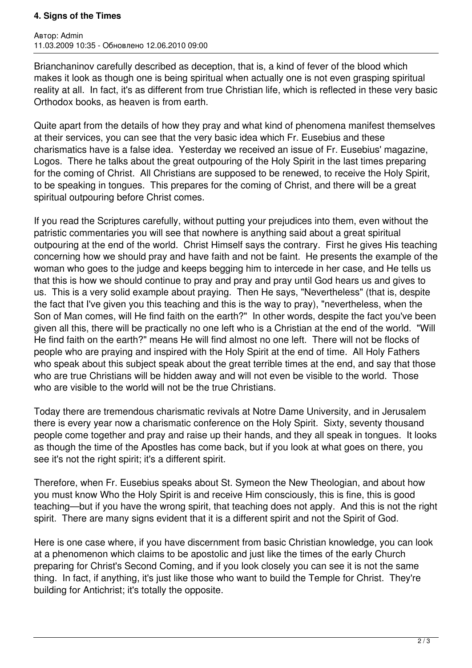## **4. Signs of the Times**

Автор: Admin 11.03.2009 10:35 - Обновлено 12.06.2010 09:00

Brianchaninov carefully described as deception, that is, a kind of fever of the blood which makes it look as though one is being spiritual when actually one is not even grasping spiritual reality at all. In fact, it's as different from true Christian life, which is reflected in these very basic Orthodox books, as heaven is from earth.

Quite apart from the details of how they pray and what kind of phenomena manifest themselves at their services, you can see that the very basic idea which Fr. Eusebius and these charismatics have is a false idea. Yesterday we received an issue of Fr. Eusebius' magazine, Logos. There he talks about the great outpouring of the Holy Spirit in the last times preparing for the coming of Christ. All Christians are supposed to be renewed, to receive the Holy Spirit, to be speaking in tongues. This prepares for the coming of Christ, and there will be a great spiritual outpouring before Christ comes.

If you read the Scriptures carefully, without putting your prejudices into them, even without the patristic commentaries you will see that nowhere is anything said about a great spiritual outpouring at the end of the world. Christ Himself says the contrary. First he gives His teaching concerning how we should pray and have faith and not be faint. He presents the example of the woman who goes to the judge and keeps begging him to intercede in her case, and He tells us that this is how we should continue to pray and pray and pray until God hears us and gives to us. This is a very solid example about praying. Then He says, "Nevertheless" (that is, despite the fact that I've given you this teaching and this is the way to pray), "nevertheless, when the Son of Man comes, will He find faith on the earth?" In other words, despite the fact you've been given all this, there will be practically no one left who is a Christian at the end of the world. "Will He find faith on the earth?" means He will find almost no one left. There will not be flocks of people who are praying and inspired with the Holy Spirit at the end of time. All Holy Fathers who speak about this subject speak about the great terrible times at the end, and say that those who are true Christians will be hidden away and will not even be visible to the world. Those who are visible to the world will not be the true Christians.

Today there are tremendous charismatic revivals at Notre Dame University, and in Jerusalem there is every year now a charismatic conference on the Holy Spirit. Sixty, seventy thousand people come together and pray and raise up their hands, and they all speak in tongues. It looks as though the time of the Apostles has come back, but if you look at what goes on there, you see it's not the right spirit; it's a different spirit.

Therefore, when Fr. Eusebius speaks about St. Symeon the New Theologian, and about how you must know Who the Holy Spirit is and receive Him consciously, this is fine, this is good teaching—but if you have the wrong spirit, that teaching does not apply. And this is not the right spirit. There are many signs evident that it is a different spirit and not the Spirit of God.

Here is one case where, if you have discernment from basic Christian knowledge, you can look at a phenomenon which claims to be apostolic and just like the times of the early Church preparing for Christ's Second Coming, and if you look closely you can see it is not the same thing. In fact, if anything, it's just like those who want to build the Temple for Christ. They're building for Antichrist; it's totally the opposite.